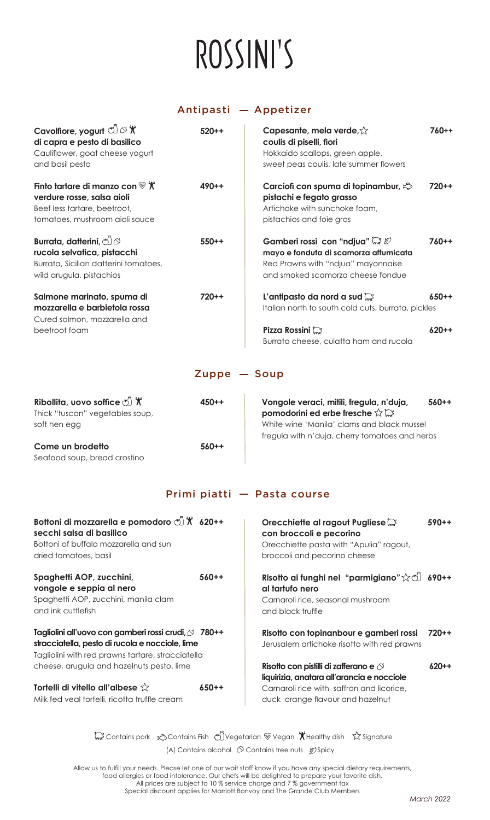# ROSSINI'S

# Antipasti - Appetizer

| Cavolfiore, yogurt $\mathbb{C} \rightarrow \mathbb{X}$<br>di capra e pesto di basilico<br>Cauliflower, goat cheese yogurt<br>and basil pesto | $520++$                   | Capesante, mela verde, $\hat{\vee}$<br>coulis di piselli, fiori<br>Hokkaido scallops, green apple,<br>sweet peas coulis, late summer flowers       | $760++$   |
|----------------------------------------------------------------------------------------------------------------------------------------------|---------------------------|----------------------------------------------------------------------------------------------------------------------------------------------------|-----------|
| Finto tartare di manzo con $\mathscr{C}$ X<br>verdure rosse, salsa aioli<br>Beef less tartare, beetroot,<br>tomatoes, mushroom aioli sauce   | $490 + +$                 | Carciofi con spuma di topinambur, $\mathbb{Q}$<br>pistachi e fegato grasso<br>Artichoke with sunchoke foam,<br>pistachios and foie gras            | $720 + +$ |
| Burrata, datterini, jos<br>rucola selvatica, pistacchi<br>Burrata, Sicilian datterini tomatoes,<br>wild arugula, pistachios                  | $550++$                   | Gamberi rossi con "ndjua" a 20<br>mayo e fonduta di scamorza affumicata<br>Red Prawns with "ndjua" mayonnaise<br>and smoked scamorza cheese fondue | $760++$   |
| Salmone marinato, spuma di<br>mozzarella e barbietola rossa<br>Cured salmon, mozzarella and                                                  | $720 + +$                 | L'antipasto da nord a sud $\mathbb{C}^3$<br>Italian north to south cold cuts, burrata, pickles                                                     | $650++$   |
| beetroot foam                                                                                                                                |                           | Pizza Rossini<br>Burrata cheese, culatta ham and rucola                                                                                            | $620 + +$ |
|                                                                                                                                              | $\mathsf{Zuppe}$ $-$ Soup |                                                                                                                                                    |           |
| Ribollita, uovo soffice $\circlearrowleft$ $\mathcal{X}$<br>Thick "tuscan" vegetables soup,<br>soft hen egg                                  | $450 + +$                 | Vongole veraci, mitili, fregula, n'duja,<br>pomodorini ed erbe fresche $\forall$ $\heartsuit$<br>White wine 'Manila' clams and black mussel        | $560++$   |

**Come un brodetto 560++** Seafood soup, bread crostino

White wine 'Manila' clams and black mussel fregula with n'duja, cherry tomatoes and herbs

# Primi piatti - Pasta course

| Bottoni di mozzarella e pomodoro $\circ$ $\mathcal{X}$ 620++<br>secchi salsa di basilico<br>Bottoni of buffalo mozzarella and sun<br>dried tomatoes, basil   |         | Orecchiette al ragout Pugliese<br>con broccoli e pecorino<br>Orecchiette pasta with "Apulia" ragout,<br>broccoli and pecorino cheese | $590++$ |
|--------------------------------------------------------------------------------------------------------------------------------------------------------------|---------|--------------------------------------------------------------------------------------------------------------------------------------|---------|
| Spaghetti AOP, zucchini,<br>vongole e seppia al nero<br>Spaghetti AOP, zucchini, manila clam<br>and ink cuttlefish                                           | $560++$ | Risotto ai funghi nel "parmigiano" $\hat{x}$ (1) 690++<br>al tartufo nero<br>Carnaroli rice, seasonal mushroom<br>and black truffle  |         |
| Tagliolini all'uovo con gamberi rossi crudi, ∅ 780++<br>stracciatella, pesto di rucola e nocciole, lime<br>Tagliolini with red prawns tartare, stracciatella |         | Risotto con topinanbour e gamberi rossi<br>Jerusalem artichoke risotto with red prawns                                               | 720++   |
| cheese, arugula and hazelnuts pesto, lime                                                                                                                    |         | Risotto con pistilli di zafferano e $\oslash$<br>liquirizia, anatara all'arancia e nocciole                                          | ለ20++   |
| Tortelli di vitello all'albese $\sqrt{\lambda}$<br>Milk fed veal tortelli, ricotta truffle cream                                                             | $650++$ | Carnaroli rice with saffron and licorice.<br>duck orange flavour and hazelnut                                                        |         |

 $\mathbb{C}^3$  Contains pork  $\log$  Contains Fish  $\log$  Vegetarian  $\mathbb{C}$  Vegan  $\mathcal{R}$  Healthy dish  $\log$  Signature (A) Contains alcohol  $\oslash$  Contains tree nuts  $\mathcal{Y}$ Spicy

Allow us to fulfill your needs. Please let one of our wait staff know if you have any special dietary requirements, food allergies or food intolerance. Our chefs will be delighted to prepare your favorite dish. All prices are subject to 10 % service charge and 7 % government tax Special discount applies for Marriott Bonvoy and The Grande Club Members